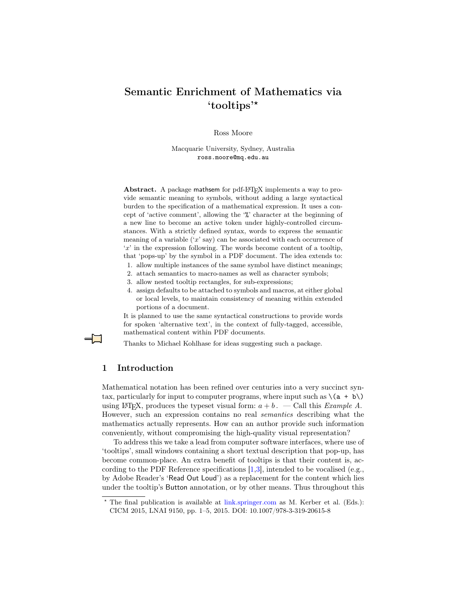# Semantic Enrichment of Mathematics via 'tooltips'?

Ross Moore

Macquarie University, Sydney, Australia ross.moore@mq.edu.au

Abstract. A package mathsem for pdf-L<sup>A</sup>T<sub>E</sub>X implements a way to provide semantic meaning to symbols, without adding a large syntactical burden to the specification of a mathematical expression. It uses a concept of 'active comment', allowing the '%' character at the beginning of a new line to become an active token under highly-controlled circumstances. With a strictly defined syntax, words to express the semantic meaning of a variable  $(x'$  say) can be associated with each occurrence of  $x'$  in the expression following. The words become content of a tooltip, that 'pops-up' by the symbol in a PDF document. The idea extends to:

- 1. allow multiple instances of the same symbol have distinct meanings;
- 2. attach semantics to macro-names as well as character symbols;
- 3. allow nested tooltip rectangles, for sub-expressions;
- 4. assign defaults to be attached to symbols and macros, at either global or local levels, to maintain consistency of meaning within extended portions of a document.

It is planned to use the same syntactical constructions to provide words for spoken 'alternative text', in the context of fully-tagged, accessible, mathematical content within PDF documents.

Thanks to Michael Kohlhase for ideas suggesting such a package.

### 1 Introduction

<span id="page-0-0"></span>Mathematical notation has been refined over centuries into a very succinct syntax, particularly for input to computer programs, where input such as  $\langle (a + b) \rangle$ using LATEX, produces the typeset visual form:  $a + b$ . — Call this *Example A*. However, such an expression contains no real semantics describing what the mathematics actually represents. How can an author provide such information conveniently, without compromising the high-quality visual representation?

To address this we take a lead from computer software interfaces, where use of 'tooltips', small windows containing a short textual description that pop-up, has become common-place. An extra benefit of tooltips is that their content is, according to the PDF Reference specifications  $[1,3]$  $[1,3]$ , intended to be vocalised (e.g., by Adobe Reader's 'Read Out Loud') as a replacement for the content which lies under the tooltip's Button annotation, or by other means. Thus throughout this

 $*$  The final publication is available at [link.springer.com](http://link.springer.com/book/10.1007/978-3-319-20615-8) as M. Kerber et al. (Eds.): CICM 2015, LNAI 9150, pp. 1–5, 2015. DOI: 10.1007/978-3-319-20615-8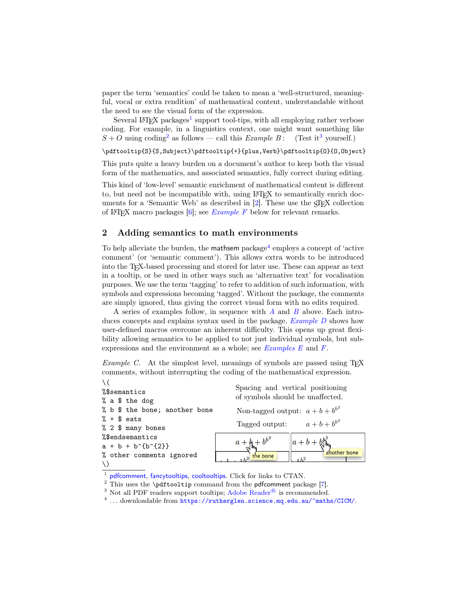paper the term 'semantics' could be taken to mean a 'well-structured, meaningful, vocal or extra rendition' of mathematical content, understandable without the need to see the visual form of the expression.

Several LAT<sub>E</sub>X packages<sup>[1](#page-1-0)</sup> support tool-tips, with all employing rather verbose coding. For example, in a linguistics context, one might want something like  $S + O$  using coding<sup>[2](#page-1-1)</sup> as follows — call this *Example B* : (Test it<sup>[3](#page-1-2)</sup> yourself.)

<span id="page-1-4"></span>\pdftooltip{S}{S,Subject}\pdftooltip{+}{plus,Verb}\pdftooltip{0}{0,0bject}

This puts quite a heavy burden on a document's author to keep both the visual form of the mathematics, and associated semantics, fully correct during editing.

This kind of 'low-level' semantic enrichment of mathematical content is different to, but need not be incompatible with, using LAT<sub>E</sub>X to semantically enrich documents for a 'Semantic Web' as described in  $[2]$ . These use the  $\frac{1}{2}$ . Collection of LAT<sub>E</sub>X macro packages  $[6]$ ; see *[Example F](#page-3-0)* below for relevant remarks.

## 2 Adding semantics to math environments

To help alleviate the burden, the mathsem package<sup>[4](#page-1-3)</sup> employs a concept of 'active comment' (or 'semantic comment'). This allows extra words to be introduced into the TEX-based processing and stored for later use. These can appear as text in a tooltip, or be used in other ways such as 'alternative text' for vocalisation purposes. We use the term 'tagging' to refer to addition of such information, with symbols and expressions becoming 'tagged'. Without the package, the comments are simply ignored, thus giving the correct visual form with no edits required.

[A](#page-0-0) series of examples follow, in sequence with  $A$  and  $B$  above. Each intro-duces concepts and explains syntax used in the package. [Example D](#page-2-0) shows how user-defined macros overcome an inherent difficulty. This opens up great flexibility allowing semantics to be applied to not just individual symbols, but subexpressions and the environment as a whole; see [Examples E](#page-3-1) and [F](#page-3-0).

Example C. At the simplest level, meanings of symbols are passed using  $T_{FX}$ comments, without interrupting the coding of the mathematical expression.  $\sqrt{}$ 

<span id="page-1-5"></span>

| %\$semantics<br>% a \$ the dog           | Spacing and vertical positioning<br>of symbols should be unaffected. |
|------------------------------------------|----------------------------------------------------------------------|
| % b \$ the bone; another bone            | Non-tagged output: $a+b+b^{b^2}$                                     |
| $\% + \$ eats<br>% 2 \$ many bones       | Tagged output: $a+b+b^{b^2}$                                         |
| %\$endsemantics%<br>$a + b + b^{(b)}{2}$ |                                                                      |
| % other comments ignored<br>$\setminus$  | another bone<br>the bone                                             |

<span id="page-1-0"></span> $<sup>1</sup>$  [pdfcomment](https://www.ctan.org/tex-archive/macros/latex/contrib/pdfcomment?lang=en), [fancytooltips](https://www.ctan.org/tex-archive/macros/latex/contrib/fancytooltips?lang=en), [cooltooltips](https://www.ctan.org/tex-archive/macros/latex/contrib/cooltooltips?lang=en). Click for links to CTAN.</sup>

<span id="page-1-1"></span><sup>&</sup>lt;sup>2</sup> This uses the  $\pdftooltip$  command from the pdfcomment package [\[7\]](#page-5-4).

<span id="page-1-2"></span><sup>&</sup>lt;sup>3</sup> Not all PDF readers support tooltips; [Adobe Reader](https://acrobat.adobe.com/au/en/products/pdf-reader.html)<sup>®</sup> is recommended.

<span id="page-1-3"></span> $^4$ ... downloadable from <https://rutherglen.science.mq.edu.au/~maths/CICM/>.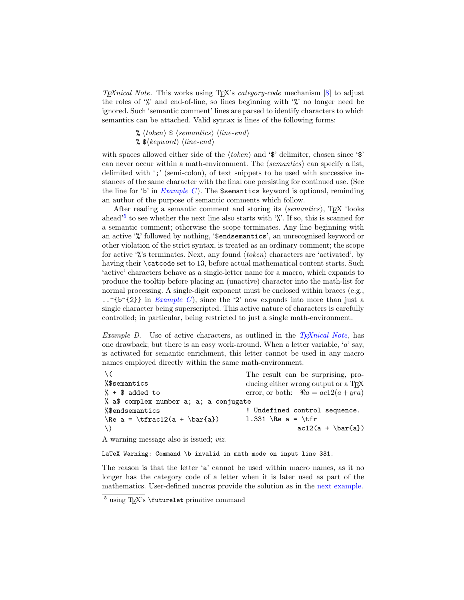<span id="page-2-2"></span> $T_{E}X$ nical Note. This works using T<sub>E</sub>X's *category-code* mechanism [\[8\]](#page-5-5) to adjust the roles of '%' and end-of-line, so lines beginning with '%' no longer need be ignored. Such 'semantic comment' lines are parsed to identify characters to which semantics can be attached. Valid syntax is lines of the following forms:

> $\lambda \langle token \rangle \$  (semantics) (line-end) %  $\langle keyword \rangle$  (line-end)

with spaces allowed either side of the  $\langle \text{token} \rangle$  and '\$' delimiter, chosen since '\$' can never occur within a math-environment. The  $\langle semantics \rangle$  can specify a list, delimited with ';' (semi-colon), of text snippets to be used with successive instances of the same character with the final one persisting for continued use. (See the line for 'b' in *[Example C](#page-1-5)*). The  $\ast$ semantics keyword is optional, reminding an author of the purpose of semantic comments which follow.

After reading a semantic comment and storing its  $\langle semantics \rangle$ , TEX 'looks ahead<sup>[5](#page-2-1)</sup> to see whether the next line also starts with '%'. If so, this is scanned for a semantic comment; otherwise the scope terminates. Any line beginning with an active '%' followed by nothing, '\$endsemantics', an unrecognised keyword or other violation of the strict syntax, is treated as an ordinary comment; the scope for active  $\mathscr{C}$ 's terminates. Next, any found  $\langle \text{token} \rangle$  characters are 'activated', by having their **\catcode** set to 13, before actual mathematical content starts. Such 'active' characters behave as a single-letter name for a macro, which expands to produce the tooltip before placing an (unactive) character into the math-list for normal processing. A single-digit exponent must be enclosed within braces (e.g., ..^{b^{2}} in *[Example C](#page-1-5)*), since the '2' now expands into more than just a single character being superscripted. This active nature of characters is carefully controlled; in particular, being restricted to just a single math-environment.

*Example D.* Use of active characters, as outlined in the  $T_F X nical Note$ , has one drawback; but there is an easy work-around. When a letter variable, ' $a$ ' say, is activated for semantic enrichment, this letter cannot be used in any macro names employed directly within the same math-environment.

<span id="page-2-0"></span>

| The result can be surprising, pro-               |
|--------------------------------------------------|
| ducing either wrong output or a T <sub>F</sub> X |
| error, or both: $\Re a = ac12(a + ara)$          |
| % a\$ complex number a; a; a conjugate           |
| ! Undefined control sequence.                    |
| 1.331 \Re a = \tfr                               |
| $\text{ac12(a + \bar{\bar{a}})}$                 |
|                                                  |

A warning message also is issued; viz.

LaTeX Warning: Command \b invalid in math mode on input line 331.

The reason is that the letter 'a' cannot be used within macro names, as it no longer has the category code of a letter when it is later used as part of the mathematics. User-defined macros provide the solution as in the [next example.](#page-3-1)

<span id="page-2-1"></span> $5$  using T<sub>E</sub>X's \futurelet primitive command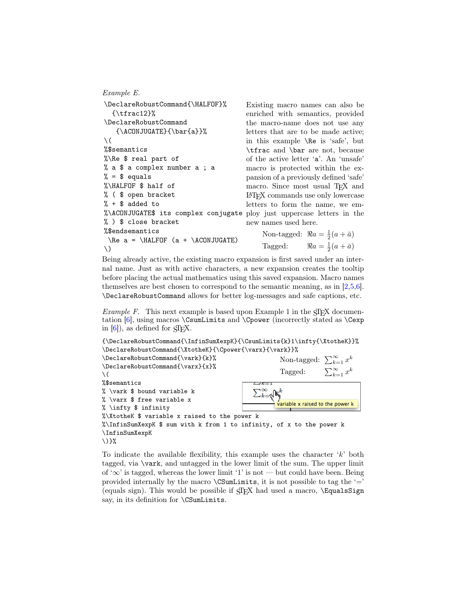```
Example E.
\DeclareRobustCommand{\HALFOF}%
   {\texttt{rac12}}\DeclareRobustCommand
    {\ACONJUGATE}{\bar{a}}%
\setminus (
%$semantics
%\Re $ real part of
% a $ a complex number a ; a
\% = \$ equals
%\HALFOF $ half of
% ( $ open bracket
% + $ added to
%\ACONJUGATE$ its complex conjugate
% ) $ close bracket
%$endsemantics
 \Re a = \H{ALFOF} (a + \ACONJUGATE)\setminusExisting macro names can also be
                                          enriched with semantics, provided
                                          the macro-name does not use any
                                          letters that are to be made active;
                                          in this example \Re is 'safe', but
                                          \tfrac and \bar are not, because
                                          of the active letter 'a'. An 'unsafe'
                                          macro is protected within the ex-
                                          pansion of a previously defined 'safe'
                                          macro. Since most usual T<sub>E</sub>X and
                                          LATEX commands use only lowercase
                                          letters to form the name, we em-
                                          ploy just uppercase letters in the
                                          new names used here.
                                                Non-tagged: \Re a = \frac{1}{2}(a + \bar{a})Tagged: \Re a = \frac{1}{2}(a + \bar{a})
```
<span id="page-3-1"></span>Being already active, the existing macro expansion is first saved under an internal name. Just as with active characters, a new expansion creates the tooltip before placing the actual mathematics using this saved expansion. Macro names themselves are best chosen to correspond to the semantic meaning, as in [\[2,](#page-5-2)[5,](#page-5-6)[6\]](#page-5-3). \DeclareRobustCommand allows for better log-messages and safe captions, etc.

<span id="page-3-0"></span>Example F. This next example is based upon Example 1 in the  $\langle \text{Tr} X \rangle$  documentation [\[6\]](#page-5-3), using macros \CsumLimits and \Cpower (incorrectly stated as \Cexp in  $[6]$ , as defined for  $SIFX$ .

{\DeclareRobustCommand{\InfinSumXexpK}{\CsumLimits{k}1\infty{\XtotheK}}% \DeclareRobustCommand{\XtotheK}{\Cpower{\varx}{\vark}}%



To indicate the available flexibility, this example uses the character  $k$  both tagged, via \vark, and untagged in the lower limit of the sum. The upper limit of ' $\infty$ ' is tagged, whereas the lower limit '1' is not — but could have been. Being provided internally by the macro  $\text{CSumLimits}$ , it is not possible to tag the '=' (equals sign). This would be possible if  $\langle T_F X \rangle$  had used a macro,  $\langle T_F X \rangle$  had used a macro,  $\langle T_F X \rangle$ say, in its definition for \CSumLimits.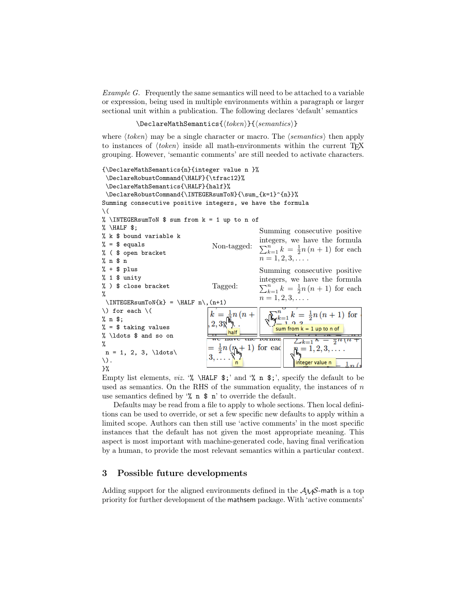Example G. Frequently the same semantics will need to be attached to a variable or expression, being used in multiple environments within a paragraph or larger sectional unit within a publication. The following declares 'default' semantics

 $\Delta$ DeclareMathSemantics{ $\{token\}$ }{ $\{semantics\}$ }

where  $\langle token \rangle$  may be a single character or macro. The  $\langle semantic \rangle$  then apply to instances of  $\langle token \rangle$  inside all math-environments within the current T<sub>E</sub>X grouping. However, 'semantic comments' are still needed to activate characters.

```
{\DeclareMathSemantics{n}{integer value n }%
 \DeclareRobustCommand{\HALF}{\tfrac12}%
 \DeclareMathSemantics{\HALF}{half}%
 \DeclareRobustCommand{\INTEGERsumToN}{\sum_{k=1}^{n}}%
Summing consecutive positive integers, we have the formula
\setminus (
% \INTEGERsumToN $ sum from k = 1 up to n of
% \HALF $;
                                                     Summing consecutive positive
% k $ bound variable k
                                                     integers, we have the formula
% = $ equalsNon-tagged:
                                                     \sum_{k=1}^{n} k = \frac{1}{2}n(n+1) for each
% ( $ open bracket
                                                     n = 1, 2, 3, \ldots% n $ n
% + $ plusSumming consecutive positive
% 1 $ unity
                                                     integers, we have the formula
% ) $ close bracket
                                     Tagged:
                                                     \sum_{k=1}^{n} k = \frac{1}{2}n(n+1) for each
%
                                                     n = 1, 2, 3, \ldots\INIEGERsumToN{k} = \HALF n\,(n+1)\sqrt{\sum_{k=1}^{n} k} = \frac{1}{2}n(n+1) for
\setminus for each \setminus (
                                    k =\frac{1}{2}n(n+% n $;
                                    2,3,<sup>12</sup>
                                                            -1 0 2
% = $ taking values
                                                          sum from k = 1 up to n of
% \ldots $ and so on
                                                                 \neg \Box\sum_{k=1}%
                                    =\frac{1}{2}n(n+1) for eac<br>3,...
                                                                 \sum_{k=1}^{k=1}, 2, 3,
n = 1, 2, 3, \ldots\setminus.
                                                                  integer value n
}%
```
Empty list elements, *viz.*  $\%$  \HALF  $\$ ; and  $\%$  **n**  $\$ ; specify the default to be used as semantics. On the RHS of the summation equality, the instances of  $n$ use semantics defined by  $\mathcal{C}_n$  n  $\hat{\mathcal{S}}$  n' to override the default.

Defaults may be read from a file to apply to whole sections. Then local definitions can be used to override, or set a few specific new defaults to apply within a limited scope. Authors can then still use 'active comments' in the most specific instances that the default has not given the most appropriate meaning. This aspect is most important with machine-generated code, having final verification by a human, to provide the most relevant semantics within a particular context.

#### 3 Possible future developments

Adding support for the aligned environments defined in the  $A_{\mathcal{M}}S$ -math is a top priority for further development of the mathsem package. With 'active comments'